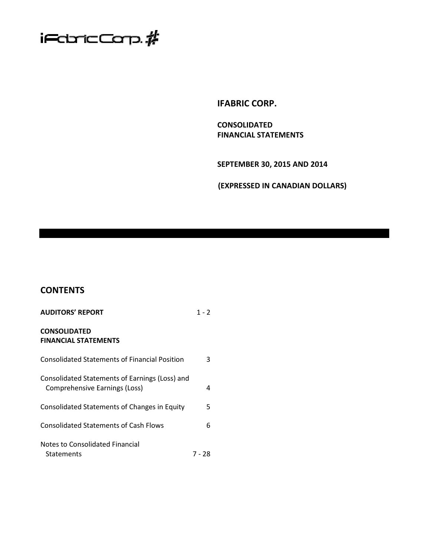

**IFABRIC CORP.** 

**CONSOLIDATED FINANCIAL STATEMENTS** 

**SEPTEMBER 30, 2015 AND 2014** 

**(EXPRESSED IN CANADIAN DOLLARS)** 

# **CONTENTS**

| <b>AUDITORS' REPORT</b>                                                         | 1 - 2  |
|---------------------------------------------------------------------------------|--------|
| <b>CONSOLIDATED</b><br><b>FINANCIAL STATEMENTS</b>                              |        |
| <b>Consolidated Statements of Financial Position</b>                            | 3      |
| Consolidated Statements of Earnings (Loss) and<br>Comprehensive Earnings (Loss) | 4      |
| Consolidated Statements of Changes in Equity                                    | 5      |
| <b>Consolidated Statements of Cash Flows</b>                                    | 6      |
| Notes to Consolidated Financial<br><b>Statements</b>                            | 7 - 28 |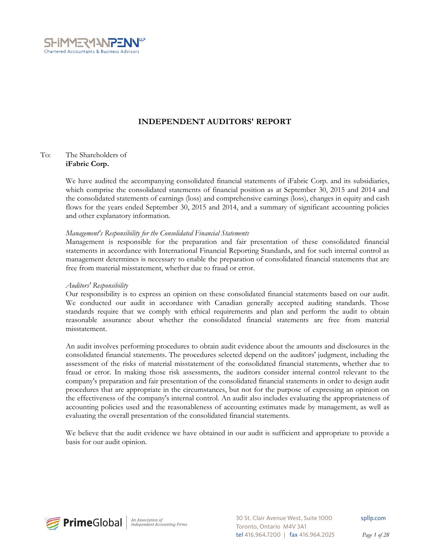

# **INDEPENDENT AUDITORS' REPORT**

# To: The Shareholders of **iFabric Corp.**

We have audited the accompanying consolidated financial statements of iFabric Corp. and its subsidiaries, which comprise the consolidated statements of financial position as at September 30, 2015 and 2014 and the consolidated statements of earnings (loss) and comprehensive earnings (loss), changes in equity and cash flows for the years ended September 30, 2015 and 2014, and a summary of significant accounting policies and other explanatory information.

# *Management's Responsibility for the Consolidated Financial Statements*

Management is responsible for the preparation and fair presentation of these consolidated financial statements in accordance with International Financial Reporting Standards, and for such internal control as management determines is necessary to enable the preparation of consolidated financial statements that are free from material misstatement, whether due to fraud or error.

# *Auditors' Responsibility*

Our responsibility is to express an opinion on these consolidated financial statements based on our audit. We conducted our audit in accordance with Canadian generally accepted auditing standards. Those standards require that we comply with ethical requirements and plan and perform the audit to obtain reasonable assurance about whether the consolidated financial statements are free from material misstatement.

An audit involves performing procedures to obtain audit evidence about the amounts and disclosures in the consolidated financial statements. The procedures selected depend on the auditors' judgment, including the assessment of the risks of material misstatement of the consolidated financial statements, whether due to fraud or error. In making those risk assessments, the auditors consider internal control relevant to the company's preparation and fair presentation of the consolidated financial statements in order to design audit procedures that are appropriate in the circumstances, but not for the purpose of expressing an opinion on the effectiveness of the company's internal control. An audit also includes evaluating the appropriateness of accounting policies used and the reasonableness of accounting estimates made by management, as well as evaluating the overall presentation of the consolidated financial statements.

We believe that the audit evidence we have obtained in our audit is sufficient and appropriate to provide a basis for our audit opinion.



30 St. Clair Avenue West, Suite 1000 Toronto, Ontario M4V 3A1 tel 416.964.7200 | fax 416.964.2025 spllp.com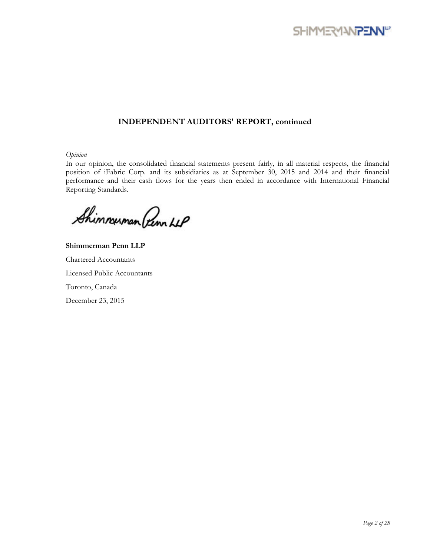

# **INDEPENDENT AUDITORS' REPORT, continued**

*Opinion* 

In our opinion, the consolidated financial statements present fairly, in all material respects, the financial position of iFabric Corp. and its subsidiaries as at September 30, 2015 and 2014 and their financial performance and their cash flows for the years then ended in accordance with International Financial Reporting Standards.

Shimmuman Penn LLP

**Shimmerman Penn LLP**  Chartered Accountants Licensed Public Accountants Toronto, Canada December 23, 2015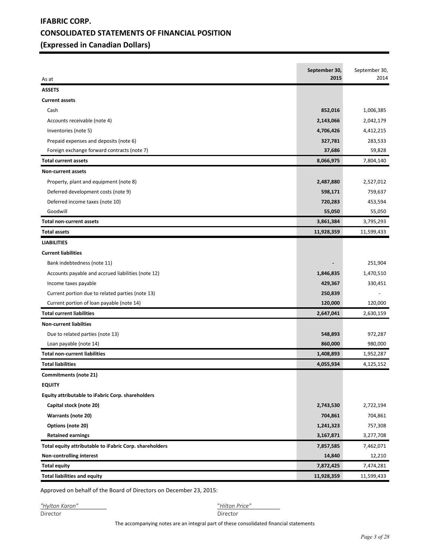# **IFABRIC CORP. CONSOLIDATED STATEMENTS OF FINANCIAL POSITION (Expressed in Canadian Dollars)**

| <b>ASSETS</b><br><b>Current assets</b><br>Cash<br>1,006,385<br>852,016<br>2,143,066<br>2,042,179<br>Accounts receivable (note 4)<br>4,706,426<br>4,412,215<br>Inventories (note 5)<br>Prepaid expenses and deposits (note 6)<br>327,781<br>283,533<br>Foreign exchange forward contracts (note 7)<br>37,686<br>59,828<br>8,066,975<br><b>Total current assets</b><br>7,804,140<br>Non-current assets<br>2,487,880<br>2,527,012<br>Property, plant and equipment (note 8)<br>Deferred development costs (note 9)<br>759,637<br>598,171<br>Deferred income taxes (note 10)<br>720,283<br>453,594<br>Goodwill<br>55,050<br>55,050<br>3,861,384<br>3,795,293<br><b>Total non-current assets</b><br><b>Total assets</b><br>11,928,359<br>11,599,433<br><b>LIABILITIES</b><br><b>Current liabilities</b><br>Bank indebtedness (note 11)<br>251,904<br>Accounts payable and accrued liabilities (note 12)<br>1,470,510<br>1,846,835<br>429,367<br>330,451<br>Income taxes payable<br>Current portion due to related parties (note 13)<br>250,839<br>Current portion of loan payable (note 14)<br>120,000<br>120,000<br><b>Total current liabilities</b><br>2,647,041<br>2,630,159<br><b>Non-current liabilties</b><br>Due to related parties (note 13)<br>548,893<br>972,287<br>860,000<br>980,000<br>Loan payable (note 14)<br><b>Total non-current liabilities</b><br>1,408,893<br>1,952,287<br><b>Total liabilities</b><br>4,055,934<br>4,125,152<br><b>Commitments (note 21)</b><br><b>EQUITY</b><br>Equity attributable to iFabric Corp. shareholders<br>Capital stock (note 20)<br>2,722,194<br>2,743,530<br>Warrants (note 20)<br>704,861<br>704,861<br>Options (note 20)<br>1,241,323<br>757,308<br><b>Retained earnings</b><br>3,167,871<br>3,277,708<br>Total equity attributable to iFabric Corp. shareholders<br>7,857,585<br>7,462,071<br>Non-controlling interest<br>14,840<br>12,210<br>7,872,425<br>7,474,281<br><b>Total equity</b><br><b>Total liabilities and equity</b><br>11,928,359<br>11,599,433 |       | September 30,<br>2015 | September 30,<br>2014 |
|------------------------------------------------------------------------------------------------------------------------------------------------------------------------------------------------------------------------------------------------------------------------------------------------------------------------------------------------------------------------------------------------------------------------------------------------------------------------------------------------------------------------------------------------------------------------------------------------------------------------------------------------------------------------------------------------------------------------------------------------------------------------------------------------------------------------------------------------------------------------------------------------------------------------------------------------------------------------------------------------------------------------------------------------------------------------------------------------------------------------------------------------------------------------------------------------------------------------------------------------------------------------------------------------------------------------------------------------------------------------------------------------------------------------------------------------------------------------------------------------------------------------------------------------------------------------------------------------------------------------------------------------------------------------------------------------------------------------------------------------------------------------------------------------------------------------------------------------------------------------------------------------------------------------------------------------------------------------------------------------------------------|-------|-----------------------|-----------------------|
|                                                                                                                                                                                                                                                                                                                                                                                                                                                                                                                                                                                                                                                                                                                                                                                                                                                                                                                                                                                                                                                                                                                                                                                                                                                                                                                                                                                                                                                                                                                                                                                                                                                                                                                                                                                                                                                                                                                                                                                                                  | As at |                       |                       |
|                                                                                                                                                                                                                                                                                                                                                                                                                                                                                                                                                                                                                                                                                                                                                                                                                                                                                                                                                                                                                                                                                                                                                                                                                                                                                                                                                                                                                                                                                                                                                                                                                                                                                                                                                                                                                                                                                                                                                                                                                  |       |                       |                       |
|                                                                                                                                                                                                                                                                                                                                                                                                                                                                                                                                                                                                                                                                                                                                                                                                                                                                                                                                                                                                                                                                                                                                                                                                                                                                                                                                                                                                                                                                                                                                                                                                                                                                                                                                                                                                                                                                                                                                                                                                                  |       |                       |                       |
|                                                                                                                                                                                                                                                                                                                                                                                                                                                                                                                                                                                                                                                                                                                                                                                                                                                                                                                                                                                                                                                                                                                                                                                                                                                                                                                                                                                                                                                                                                                                                                                                                                                                                                                                                                                                                                                                                                                                                                                                                  |       |                       |                       |
|                                                                                                                                                                                                                                                                                                                                                                                                                                                                                                                                                                                                                                                                                                                                                                                                                                                                                                                                                                                                                                                                                                                                                                                                                                                                                                                                                                                                                                                                                                                                                                                                                                                                                                                                                                                                                                                                                                                                                                                                                  |       |                       |                       |
|                                                                                                                                                                                                                                                                                                                                                                                                                                                                                                                                                                                                                                                                                                                                                                                                                                                                                                                                                                                                                                                                                                                                                                                                                                                                                                                                                                                                                                                                                                                                                                                                                                                                                                                                                                                                                                                                                                                                                                                                                  |       |                       |                       |
|                                                                                                                                                                                                                                                                                                                                                                                                                                                                                                                                                                                                                                                                                                                                                                                                                                                                                                                                                                                                                                                                                                                                                                                                                                                                                                                                                                                                                                                                                                                                                                                                                                                                                                                                                                                                                                                                                                                                                                                                                  |       |                       |                       |
|                                                                                                                                                                                                                                                                                                                                                                                                                                                                                                                                                                                                                                                                                                                                                                                                                                                                                                                                                                                                                                                                                                                                                                                                                                                                                                                                                                                                                                                                                                                                                                                                                                                                                                                                                                                                                                                                                                                                                                                                                  |       |                       |                       |
|                                                                                                                                                                                                                                                                                                                                                                                                                                                                                                                                                                                                                                                                                                                                                                                                                                                                                                                                                                                                                                                                                                                                                                                                                                                                                                                                                                                                                                                                                                                                                                                                                                                                                                                                                                                                                                                                                                                                                                                                                  |       |                       |                       |
|                                                                                                                                                                                                                                                                                                                                                                                                                                                                                                                                                                                                                                                                                                                                                                                                                                                                                                                                                                                                                                                                                                                                                                                                                                                                                                                                                                                                                                                                                                                                                                                                                                                                                                                                                                                                                                                                                                                                                                                                                  |       |                       |                       |
|                                                                                                                                                                                                                                                                                                                                                                                                                                                                                                                                                                                                                                                                                                                                                                                                                                                                                                                                                                                                                                                                                                                                                                                                                                                                                                                                                                                                                                                                                                                                                                                                                                                                                                                                                                                                                                                                                                                                                                                                                  |       |                       |                       |
|                                                                                                                                                                                                                                                                                                                                                                                                                                                                                                                                                                                                                                                                                                                                                                                                                                                                                                                                                                                                                                                                                                                                                                                                                                                                                                                                                                                                                                                                                                                                                                                                                                                                                                                                                                                                                                                                                                                                                                                                                  |       |                       |                       |
|                                                                                                                                                                                                                                                                                                                                                                                                                                                                                                                                                                                                                                                                                                                                                                                                                                                                                                                                                                                                                                                                                                                                                                                                                                                                                                                                                                                                                                                                                                                                                                                                                                                                                                                                                                                                                                                                                                                                                                                                                  |       |                       |                       |
|                                                                                                                                                                                                                                                                                                                                                                                                                                                                                                                                                                                                                                                                                                                                                                                                                                                                                                                                                                                                                                                                                                                                                                                                                                                                                                                                                                                                                                                                                                                                                                                                                                                                                                                                                                                                                                                                                                                                                                                                                  |       |                       |                       |
|                                                                                                                                                                                                                                                                                                                                                                                                                                                                                                                                                                                                                                                                                                                                                                                                                                                                                                                                                                                                                                                                                                                                                                                                                                                                                                                                                                                                                                                                                                                                                                                                                                                                                                                                                                                                                                                                                                                                                                                                                  |       |                       |                       |
|                                                                                                                                                                                                                                                                                                                                                                                                                                                                                                                                                                                                                                                                                                                                                                                                                                                                                                                                                                                                                                                                                                                                                                                                                                                                                                                                                                                                                                                                                                                                                                                                                                                                                                                                                                                                                                                                                                                                                                                                                  |       |                       |                       |
|                                                                                                                                                                                                                                                                                                                                                                                                                                                                                                                                                                                                                                                                                                                                                                                                                                                                                                                                                                                                                                                                                                                                                                                                                                                                                                                                                                                                                                                                                                                                                                                                                                                                                                                                                                                                                                                                                                                                                                                                                  |       |                       |                       |
|                                                                                                                                                                                                                                                                                                                                                                                                                                                                                                                                                                                                                                                                                                                                                                                                                                                                                                                                                                                                                                                                                                                                                                                                                                                                                                                                                                                                                                                                                                                                                                                                                                                                                                                                                                                                                                                                                                                                                                                                                  |       |                       |                       |
|                                                                                                                                                                                                                                                                                                                                                                                                                                                                                                                                                                                                                                                                                                                                                                                                                                                                                                                                                                                                                                                                                                                                                                                                                                                                                                                                                                                                                                                                                                                                                                                                                                                                                                                                                                                                                                                                                                                                                                                                                  |       |                       |                       |
|                                                                                                                                                                                                                                                                                                                                                                                                                                                                                                                                                                                                                                                                                                                                                                                                                                                                                                                                                                                                                                                                                                                                                                                                                                                                                                                                                                                                                                                                                                                                                                                                                                                                                                                                                                                                                                                                                                                                                                                                                  |       |                       |                       |
|                                                                                                                                                                                                                                                                                                                                                                                                                                                                                                                                                                                                                                                                                                                                                                                                                                                                                                                                                                                                                                                                                                                                                                                                                                                                                                                                                                                                                                                                                                                                                                                                                                                                                                                                                                                                                                                                                                                                                                                                                  |       |                       |                       |
|                                                                                                                                                                                                                                                                                                                                                                                                                                                                                                                                                                                                                                                                                                                                                                                                                                                                                                                                                                                                                                                                                                                                                                                                                                                                                                                                                                                                                                                                                                                                                                                                                                                                                                                                                                                                                                                                                                                                                                                                                  |       |                       |                       |
|                                                                                                                                                                                                                                                                                                                                                                                                                                                                                                                                                                                                                                                                                                                                                                                                                                                                                                                                                                                                                                                                                                                                                                                                                                                                                                                                                                                                                                                                                                                                                                                                                                                                                                                                                                                                                                                                                                                                                                                                                  |       |                       |                       |
|                                                                                                                                                                                                                                                                                                                                                                                                                                                                                                                                                                                                                                                                                                                                                                                                                                                                                                                                                                                                                                                                                                                                                                                                                                                                                                                                                                                                                                                                                                                                                                                                                                                                                                                                                                                                                                                                                                                                                                                                                  |       |                       |                       |
|                                                                                                                                                                                                                                                                                                                                                                                                                                                                                                                                                                                                                                                                                                                                                                                                                                                                                                                                                                                                                                                                                                                                                                                                                                                                                                                                                                                                                                                                                                                                                                                                                                                                                                                                                                                                                                                                                                                                                                                                                  |       |                       |                       |
|                                                                                                                                                                                                                                                                                                                                                                                                                                                                                                                                                                                                                                                                                                                                                                                                                                                                                                                                                                                                                                                                                                                                                                                                                                                                                                                                                                                                                                                                                                                                                                                                                                                                                                                                                                                                                                                                                                                                                                                                                  |       |                       |                       |
|                                                                                                                                                                                                                                                                                                                                                                                                                                                                                                                                                                                                                                                                                                                                                                                                                                                                                                                                                                                                                                                                                                                                                                                                                                                                                                                                                                                                                                                                                                                                                                                                                                                                                                                                                                                                                                                                                                                                                                                                                  |       |                       |                       |
|                                                                                                                                                                                                                                                                                                                                                                                                                                                                                                                                                                                                                                                                                                                                                                                                                                                                                                                                                                                                                                                                                                                                                                                                                                                                                                                                                                                                                                                                                                                                                                                                                                                                                                                                                                                                                                                                                                                                                                                                                  |       |                       |                       |
|                                                                                                                                                                                                                                                                                                                                                                                                                                                                                                                                                                                                                                                                                                                                                                                                                                                                                                                                                                                                                                                                                                                                                                                                                                                                                                                                                                                                                                                                                                                                                                                                                                                                                                                                                                                                                                                                                                                                                                                                                  |       |                       |                       |
|                                                                                                                                                                                                                                                                                                                                                                                                                                                                                                                                                                                                                                                                                                                                                                                                                                                                                                                                                                                                                                                                                                                                                                                                                                                                                                                                                                                                                                                                                                                                                                                                                                                                                                                                                                                                                                                                                                                                                                                                                  |       |                       |                       |
|                                                                                                                                                                                                                                                                                                                                                                                                                                                                                                                                                                                                                                                                                                                                                                                                                                                                                                                                                                                                                                                                                                                                                                                                                                                                                                                                                                                                                                                                                                                                                                                                                                                                                                                                                                                                                                                                                                                                                                                                                  |       |                       |                       |
|                                                                                                                                                                                                                                                                                                                                                                                                                                                                                                                                                                                                                                                                                                                                                                                                                                                                                                                                                                                                                                                                                                                                                                                                                                                                                                                                                                                                                                                                                                                                                                                                                                                                                                                                                                                                                                                                                                                                                                                                                  |       |                       |                       |
|                                                                                                                                                                                                                                                                                                                                                                                                                                                                                                                                                                                                                                                                                                                                                                                                                                                                                                                                                                                                                                                                                                                                                                                                                                                                                                                                                                                                                                                                                                                                                                                                                                                                                                                                                                                                                                                                                                                                                                                                                  |       |                       |                       |
|                                                                                                                                                                                                                                                                                                                                                                                                                                                                                                                                                                                                                                                                                                                                                                                                                                                                                                                                                                                                                                                                                                                                                                                                                                                                                                                                                                                                                                                                                                                                                                                                                                                                                                                                                                                                                                                                                                                                                                                                                  |       |                       |                       |
|                                                                                                                                                                                                                                                                                                                                                                                                                                                                                                                                                                                                                                                                                                                                                                                                                                                                                                                                                                                                                                                                                                                                                                                                                                                                                                                                                                                                                                                                                                                                                                                                                                                                                                                                                                                                                                                                                                                                                                                                                  |       |                       |                       |
|                                                                                                                                                                                                                                                                                                                                                                                                                                                                                                                                                                                                                                                                                                                                                                                                                                                                                                                                                                                                                                                                                                                                                                                                                                                                                                                                                                                                                                                                                                                                                                                                                                                                                                                                                                                                                                                                                                                                                                                                                  |       |                       |                       |
|                                                                                                                                                                                                                                                                                                                                                                                                                                                                                                                                                                                                                                                                                                                                                                                                                                                                                                                                                                                                                                                                                                                                                                                                                                                                                                                                                                                                                                                                                                                                                                                                                                                                                                                                                                                                                                                                                                                                                                                                                  |       |                       |                       |
|                                                                                                                                                                                                                                                                                                                                                                                                                                                                                                                                                                                                                                                                                                                                                                                                                                                                                                                                                                                                                                                                                                                                                                                                                                                                                                                                                                                                                                                                                                                                                                                                                                                                                                                                                                                                                                                                                                                                                                                                                  |       |                       |                       |
|                                                                                                                                                                                                                                                                                                                                                                                                                                                                                                                                                                                                                                                                                                                                                                                                                                                                                                                                                                                                                                                                                                                                                                                                                                                                                                                                                                                                                                                                                                                                                                                                                                                                                                                                                                                                                                                                                                                                                                                                                  |       |                       |                       |
|                                                                                                                                                                                                                                                                                                                                                                                                                                                                                                                                                                                                                                                                                                                                                                                                                                                                                                                                                                                                                                                                                                                                                                                                                                                                                                                                                                                                                                                                                                                                                                                                                                                                                                                                                                                                                                                                                                                                                                                                                  |       |                       |                       |

Approved on behalf of the Board of Directors on December 23, 2015:

*"Hylton Karon"* "*Hilton Price"*  Director Director

The accompanying notes are an integral part of these consolidated financial statements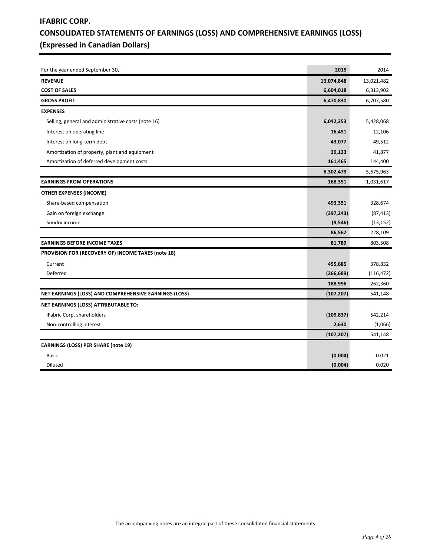# **IFABRIC CORP. CONSOLIDATED STATEMENTS OF EARNINGS (LOSS) AND COMPREHENSIVE EARNINGS (LOSS) (Expressed in Canadian Dollars)**

| For the year ended September 30,                      | 2015       | 2014       |
|-------------------------------------------------------|------------|------------|
| <b>REVENUE</b>                                        | 13,074,848 | 13,021,482 |
| <b>COST OF SALES</b>                                  | 6,604,018  | 6,313,902  |
| <b>GROSS PROFIT</b>                                   | 6,470,830  | 6,707,580  |
| <b>EXPENSES</b>                                       |            |            |
| Selling, general and administrative costs (note 16)   | 6,042,353  | 5,428,068  |
| Interest on operating line                            | 16,451     | 12,106     |
| Interest on long-term debt                            | 43,077     | 49,512     |
| Amortization of property, plant and equipment         | 39,133     | 41,877     |
| Amortization of deferred development costs            | 161,465    | 144,400    |
|                                                       | 6,302,479  | 5,675,963  |
| <b>EARNINGS FROM OPERATIONS</b>                       | 168,351    | 1,031,617  |
| OTHER EXPENSES (INCOME)                               |            |            |
| Share-based compensation                              | 493,351    | 328,674    |
| Gain on foreign exchange                              | (397, 243) | (87, 413)  |
| Sundry income                                         | (9, 546)   | (13, 152)  |
|                                                       | 86,562     | 228,109    |
| <b>EARNINGS BEFORE INCOME TAXES</b>                   | 81,789     | 803,508    |
| PROVISION FOR (RECOVERY OF) INCOME TAXES (note 18)    |            |            |
| Current                                               | 455,685    | 378,832    |
| Deferred                                              | (266, 689) | (116, 472) |
|                                                       | 188,996    | 262,360    |
| NET EARNINGS (LOSS) AND COMPREHENSIVE EARNINGS (LOSS) | (107, 207) | 541,148    |
| NET EARNINGS (LOSS) ATTRIBUTABLE TO:                  |            |            |
| iFabric Corp. shareholders                            | (109, 837) | 542,214    |
| Non-controlling interest                              | 2,630      | (1,066)    |
|                                                       | (107, 207) | 541,148    |
| <b>EARNINGS (LOSS) PER SHARE (note 19)</b>            |            |            |
| <b>Basic</b>                                          | (0.004)    | 0.021      |
| Diluted                                               | (0.004)    | 0.020      |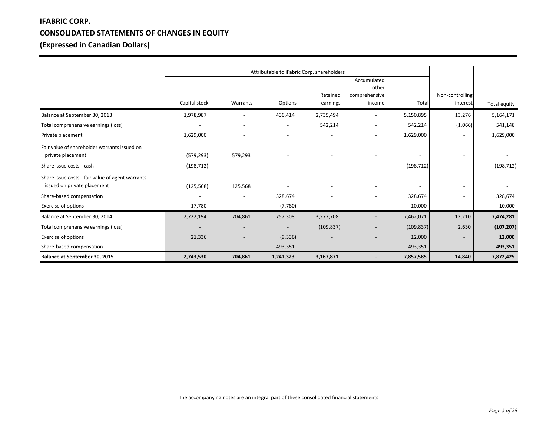# **IFABRIC CORP. CONSOLIDATED STATEMENTS OF CHANGES IN EQUITY (Expressed in Canadian Dollars)**

|                                                                                 |                          |                          | Attributable to iFabric Corp. shareholders |                      |                                                 |                          |                             |              |
|---------------------------------------------------------------------------------|--------------------------|--------------------------|--------------------------------------------|----------------------|-------------------------------------------------|--------------------------|-----------------------------|--------------|
|                                                                                 | Capital stock            | Warrants                 | Options                                    | Retained<br>earnings | Accumulated<br>other<br>comprehensive<br>income | Total                    | Non-controlling<br>interest | Total equity |
| Balance at September 30, 2013                                                   | 1,978,987                |                          | 436,414                                    | 2,735,494            |                                                 | 5,150,895                | 13,276                      | 5,164,171    |
| Total comprehensive earnings (loss)                                             | $\overline{\phantom{a}}$ |                          | $\overline{\phantom{a}}$                   | 542,214              |                                                 | 542,214                  | (1,066)                     | 541,148      |
| Private placement                                                               | 1,629,000                |                          |                                            |                      |                                                 | 1,629,000                | $\overline{\phantom{a}}$    | 1,629,000    |
| Fair value of shareholder warrants issued on<br>private placement               | (579, 293)               | 579,293                  |                                            |                      |                                                 | $\overline{\phantom{a}}$ | $\overline{\phantom{a}}$    |              |
| Share issue costs - cash                                                        | (198, 712)               | $\overline{\phantom{a}}$ |                                            |                      | $\blacksquare$                                  | (198, 712)               | -                           | (198, 712)   |
| Share issue costs - fair value of agent warrants<br>issued on private placement | (125, 568)               | 125,568                  |                                            |                      |                                                 |                          | $\overline{\phantom{a}}$    |              |
| Share-based compensation                                                        | $\overline{\phantom{a}}$ | $\overline{\phantom{a}}$ | 328,674                                    |                      | $\overline{\phantom{a}}$                        | 328,674                  | ٠                           | 328,674      |
| Exercise of options                                                             | 17,780                   | $\overline{\phantom{a}}$ | (7,780)                                    |                      |                                                 | 10,000                   | $\overline{\phantom{a}}$    | 10,000       |
| Balance at September 30, 2014                                                   | 2,722,194                | 704,861                  | 757,308                                    | 3,277,708            |                                                 | 7,462,071                | 12,210                      | 7,474,281    |
| Total comprehensive earnings (loss)                                             | $\overline{\phantom{a}}$ |                          | $\overline{\phantom{a}}$                   | (109, 837)           |                                                 | (109, 837)               | 2,630                       | (107, 207)   |
| Exercise of options                                                             | 21,336                   |                          | (9, 336)                                   |                      |                                                 | 12,000                   | $\overline{\phantom{a}}$    | 12,000       |
| Share-based compensation                                                        | $\overline{\phantom{a}}$ |                          | 493,351                                    |                      | $\overline{\phantom{a}}$                        | 493,351                  | $\overline{\phantom{a}}$    | 493,351      |
| Balance at September 30, 2015                                                   | 2,743,530                | 704,861                  | 1,241,323                                  | 3,167,871            |                                                 | 7,857,585                | 14,840                      | 7,872,425    |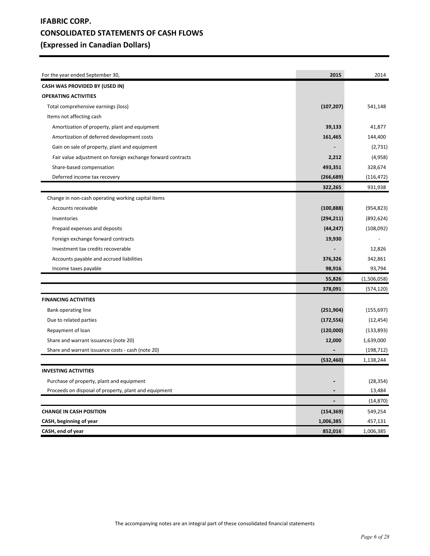# **IFABRIC CORP. CONSOLIDATED STATEMENTS OF CASH FLOWS (Expressed in Canadian Dollars)**

| For the year ended September 30,                            | 2015           | 2014        |
|-------------------------------------------------------------|----------------|-------------|
| CASH WAS PROVIDED BY (USED IN)                              |                |             |
| <b>OPERATING ACTIVITIES</b>                                 |                |             |
| Total comprehensive earnings (loss)                         | (107, 207)     | 541,148     |
| Items not affecting cash                                    |                |             |
| Amortization of property, plant and equipment               | 39,133         | 41,877      |
| Amortization of deferred development costs                  | 161,465        | 144,400     |
| Gain on sale of property, plant and equipment               |                | (2,731)     |
| Fair value adjustment on foreign exchange forward contracts | 2,212          | (4,958)     |
| Share-based compensation                                    | 493,351        | 328,674     |
| Deferred income tax recovery                                | (266, 689)     | (116, 472)  |
|                                                             | 322,265        | 931,938     |
| Change in non-cash operating working capital items          |                |             |
| Accounts receivable                                         | (100, 888)     | (954, 823)  |
| Inventories                                                 | (294, 211)     | (892, 624)  |
| Prepaid expenses and deposits                               | (44, 247)      | (108,092)   |
| Foreign exchange forward contracts                          | 19,930         |             |
| Investment tax credits recoverable                          |                | 12,826      |
| Accounts payable and accrued liabilities                    | 376,326        | 342,861     |
| Income taxes payable                                        | 98,916         | 93,794      |
|                                                             | 55,826         | (1,506,058) |
|                                                             | 378,091        | (574, 120)  |
| <b>FINANCING ACTIVITIES</b>                                 |                |             |
| Bank operating line                                         | (251, 904)     | (155, 697)  |
| Due to related parties                                      | (172, 556)     | (12, 454)   |
| Repayment of loan                                           | (120,000)      | (133, 893)  |
| Share and warrant issuances (note 20)                       | 12,000         | 1,639,000   |
| Share and warrant issuance costs - cash (note 20)           |                | (198, 712)  |
|                                                             | (532, 460)     | 1,138,244   |
| <b>INVESTING ACTIVITIES</b>                                 |                |             |
| Purchase of property, plant and equipment                   |                | (28, 354)   |
| Proceeds on disposal of property, plant and equipment       |                | 13,484      |
|                                                             | $\blacksquare$ | (14, 870)   |
| <b>CHANGE IN CASH POSITION</b>                              | (154, 369)     | 549,254     |
| CASH, beginning of year                                     | 1,006,385      | 457,131     |
| CASH, end of year                                           | 852,016        | 1,006,385   |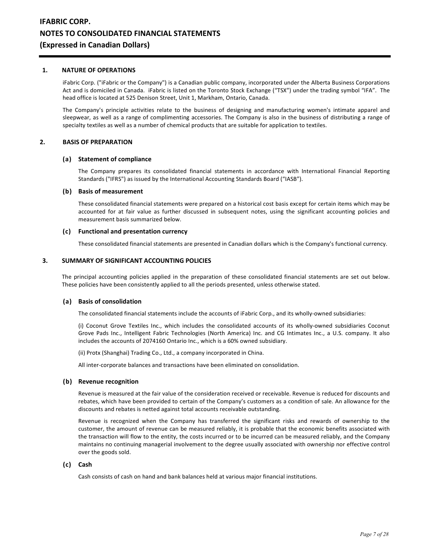## **1. NATURE OF OPERATIONS**

iFabric Corp. ("iFabric or the Company") is a Canadian public company, incorporated under the Alberta Business Corporations Act and is domiciled in Canada. iFabric is listed on the Toronto Stock Exchange ("TSX") under the trading symbol "IFA". The head office is located at 525 Denison Street, Unit 1, Markham, Ontario, Canada.

The Company's principle activities relate to the business of designing and manufacturing women's intimate apparel and sleepwear, as well as a range of complimenting accessories. The Company is also in the business of distributing a range of specialty textiles as well as a number of chemical products that are suitable for application to textiles.

## **2. BASIS OF PREPARATION**

### **(a) Statement of compliance**

 The Company prepares its consolidated financial statements in accordance with International Financial Reporting Standards ("IFRS") as issued by the International Accounting Standards Board ("IASB").

### **(b) Basis of measurement**

These consolidated financial statements were prepared on a historical cost basis except for certain items which may be accounted for at fair value as further discussed in subsequent notes, using the significant accounting policies and measurement basis summarized below.

## **(c) Functional and presentation currency**

These consolidated financial statements are presented in Canadian dollars which is the Company's functional currency.

## **3. SUMMARY OF SIGNIFICANT ACCOUNTING POLICIES**

The principal accounting policies applied in the preparation of these consolidated financial statements are set out below. These policies have been consistently applied to all the periods presented, unless otherwise stated.

## **(a) Basis of consolidation**

The consolidated financial statements include the accounts of iFabric Corp., and its wholly-owned subsidiaries:

 (i) Coconut Grove Textiles Inc., which includes the consolidated accounts of its wholly-owned subsidiaries Coconut Grove Pads Inc., Intelligent Fabric Technologies (North America) Inc. and CG Intimates Inc., a U.S. company. It also includes the accounts of 2074160 Ontario Inc., which is a 60% owned subsidiary.

(ii) Protx (Shanghai) Trading Co., Ltd., a company incorporated in China.

All inter-corporate balances and transactions have been eliminated on consolidation.

## **(b) Revenue recognition**

 Revenue is measured at the fair value of the consideration received or receivable. Revenue is reduced for discounts and rebates, which have been provided to certain of the Company's customers as a condition of sale. An allowance for the discounts and rebates is netted against total accounts receivable outstanding.

 Revenue is recognized when the Company has transferred the significant risks and rewards of ownership to the customer, the amount of revenue can be measured reliably, it is probable that the economic benefits associated with the transaction will flow to the entity, the costs incurred or to be incurred can be measured reliably, and the Company maintains no continuing managerial involvement to the degree usually associated with ownership nor effective control over the goods sold.

## **(c) Cash**

Cash consists of cash on hand and bank balances held at various major financial institutions.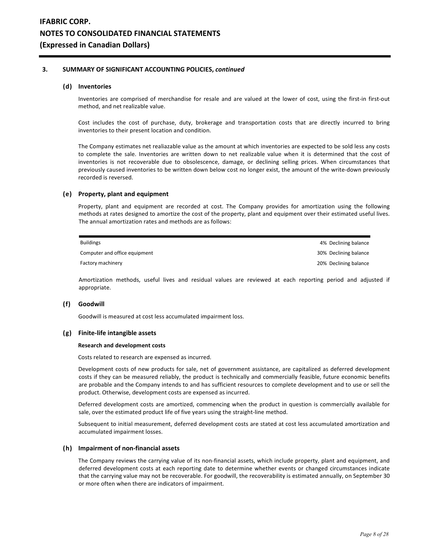#### **(d) Inventories**

 Inventories are comprised of merchandise for resale and are valued at the lower of cost, using the first-in first-out method, and net realizable value.

 Cost includes the cost of purchase, duty, brokerage and transportation costs that are directly incurred to bring inventories to their present location and condition.

 The Company estimates net realiazable value as the amount at which inventories are expected to be sold less any costs to complete the sale. Inventories are written down to net realizable value when it is determined that the cost of inventories is not recoverable due to obsolescence, damage, or declining selling prices. When circumstances that previously caused inventories to be written down below cost no longer exist, the amount of the write-down previously recorded is reversed.

#### **(e) Property, plant and equipment**

 Property, plant and equipment are recorded at cost. The Company provides for amortization using the following methods at rates designed to amortize the cost of the property, plant and equipment over their estimated useful lives. The annual amortization rates and methods are as follows:

| <b>Buildings</b>              | 4% Declining balance  |
|-------------------------------|-----------------------|
| Computer and office equipment | 30% Declining balance |
| Factory machinery             | 20% Declining balance |

 Amortization methods, useful lives and residual values are reviewed at each reporting period and adjusted if appropriate.

#### **(f) Goodwill**

Goodwill is measured at cost less accumulated impairment loss.

#### **(g) Finite-life intangible assets**

#### **Research and development costs**

Costs related to research are expensed as incurred.

 Development costs of new products for sale, net of government assistance, are capitalized as deferred development costs if they can be measured reliably, the product is technically and commercially feasible, future economic benefits are probable and the Company intends to and has sufficient resources to complete development and to use or sell the product. Otherwise, development costs are expensed as incurred.

 Deferred development costs are amortized, commencing when the product in question is commercially available for sale, over the estimated product life of five years using the straight-line method.

 Subsequent to initial measurement, deferred development costs are stated at cost less accumulated amortization and accumulated impairment losses.

#### **(h) Impairment of non-financial assets**

 The Company reviews the carrying value of its non-financial assets, which include property, plant and equipment, and deferred development costs at each reporting date to determine whether events or changed circumstances indicate that the carrying value may not be recoverable. For goodwill, the recoverability is estimated annually, on September 30 or more often when there are indicators of impairment.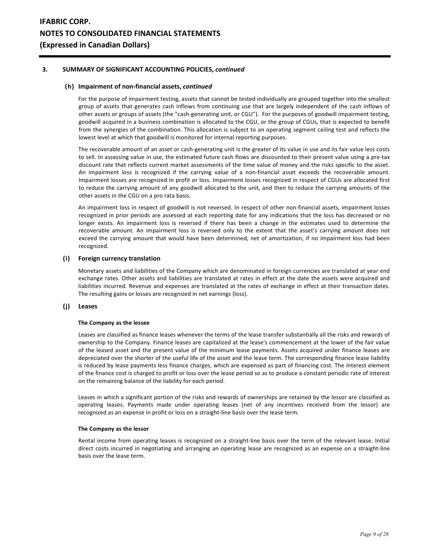## **(h) Impairment of non-financial assets,** *continued*

 For the purpose of impairment testing, assets that cannot be tested individually are grouped together into the smallest group of assets that generates cash inflows from continuing use that are largely independent of the cash inflows of other assets or groups of assets (the "cash-generating unit, or CGU"). For the purposes of goodwill impairment testing, goodwill acquired in a business combination is allocated to the CGU, or the group of CGUs, that is expected to benefit from the synergies of the combination. This allocation is subject to an operating segment ceiling test and reflects the lowest level at which that goodwill is monitored for internal reporting purposes.

 The recoverable amount of an asset or cash-generating unit is the greater of its value in use and its fair value less costs to sell. In assessing value in use, the estimated future cash flows are discounted to their present value using a pre-tax discount rate that reflects current market assessments of the time value of money and the risks specific to the asset. An impairment loss is recognized if the carrying value of a non-financial asset exceeds the recoverable amount. Impairment losses are recognized in profit or loss. Impairment losses recognized in respect of CGUs are allocated first to reduce the carrying amount of any goodwill allocated to the unit, and then to reduce the carrying amounts of the other assets in the CGU on a pro rata basis.

 An impairment loss in respect of goodwill is not reversed. In respect of other non-financial assets, impairment losses recognized in prior periods are assessed at each reporting date for any indications that the loss has decreased or no longer exists. An impairment loss is reversed if there has been a change in the estimates used to determine the recoverable amount. An impairment loss is reversed only to the extent that the asset's carrying amount does not exceed the carrying amount that would have been determined, net of amortization, if no impairment loss had been recognized.

### **(i) Foreign currency translation**

 Monetary assets and liabilities of the Company which are denominated in foreign currencies are translated at year end exchange rates. Other assets and liabilities are translated at rates in effect at the date the assets were acquired and liabilities incurred. Revenue and expenses are translated at the rates of exchange in effect at their transaction dates. The resulting gains or losses are recognized in net earnings (loss).

## **(j) Leases**

#### **The Company as the lessee**

Leases are classified as finance leases whenever the terms of the lease transfer substantially all the risks and rewards of ownership to the Company. Finance leases are capitalized at the lease's commencement at the lower of the fair value of the leased asset and the present value of the minimum lease payments. Assets acquired under finance leases are depreciated over the shorter of the useful life of the asset and the lease term. The corresponding finance lease liability is reduced by lease payments less finance charges, which are expensed as part of financing cost. The interest element of the finance cost is charged to profit or loss over the lease period so as to produce a constant periodic rate of interest on the remaining balance of the liability for each period.

Leases in which a significant portion of the risks and rewards of ownerships are retained by the lessor are classified as operating leases. Payments made under operating leases (net of any incentives received from the lessor) are recognized as an expense in profit or loss on a straight-line basis over the lease term.

#### **The Company as the lessor**

 Rental income from operating leases is recognized on a straight-line basis over the term of the relevant lease. Initial direct costs incurred in negotiating and arranging an operating lease are recognized as an expense on a straight-line basis over the lease term.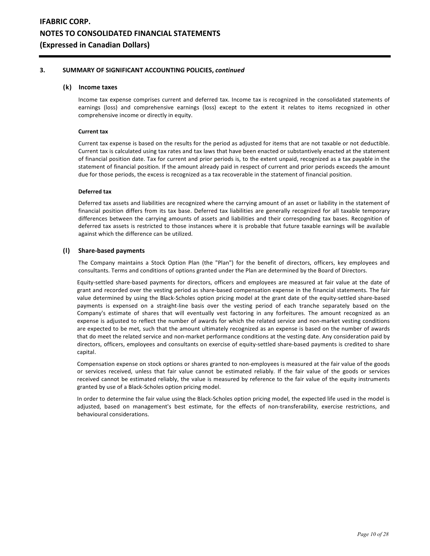## **(k) Income taxes**

 Income tax expense comprises current and deferred tax. Income tax is recognized in the consolidated statements of earnings (loss) and comprehensive earnings (loss) except to the extent it relates to items recognized in other comprehensive income or directly in equity.

#### **Current tax**

 Current tax expense is based on the results for the period as adjusted for items that are not taxable or not deductible. Current tax is calculated using tax rates and tax laws that have been enacted or substantively enacted at the statement of financial position date. Tax for current and prior periods is, to the extent unpaid, recognized as a tax payable in the statement of financial position. If the amount already paid in respect of current and prior periods exceeds the amount due for those periods, the excess is recognized as a tax recoverable in the statement of financial position.

### **Deferred tax**

 Deferred tax assets and liabilities are recognized where the carrying amount of an asset or liability in the statement of financial position differs from its tax base. Deferred tax liabilities are generally recognized for all taxable temporary differences between the carrying amounts of assets and liabilities and their corresponding tax bases. Recognition of deferred tax assets is restricted to those instances where it is probable that future taxable earnings will be available against which the difference can be utilized.

## **(l) Share-based payments**

 The Company maintains a Stock Option Plan (the "Plan") for the benefit of directors, officers, key employees and consultants. Terms and conditions of options granted under the Plan are determined by the Board of Directors.

 Equity-settled share-based payments for directors, officers and employees are measured at fair value at the date of grant and recorded over the vesting period as share-based compensation expense in the financial statements. The fair value determined by using the Black-Scholes option pricing model at the grant date of the equity-settled share-based payments is expensed on a straight-line basis over the vesting period of each tranche separately based on the Company's estimate of shares that will eventually vest factoring in any forfeitures. The amount recognized as an expense is adjusted to reflect the number of awards for which the related service and non-market vesting conditions are expected to be met, such that the amount ultimately recognized as an expense is based on the number of awards that do meet the related service and non-market performance conditions at the vesting date. Any consideration paid by directors, officers, employees and consultants on exercise of equity-settled share-based payments is credited to share capital.

 Compensation expense on stock options or shares granted to non-employees is measured at the fair value of the goods or services received, unless that fair value cannot be estimated reliably. If the fair value of the goods or services received cannot be estimated reliably, the value is measured by reference to the fair value of the equity instruments granted by use of a Black-Scholes option pricing model.

 In order to determine the fair value using the Black-Scholes option pricing model, the expected life used in the model is adjusted, based on management's best estimate, for the effects of non-transferability, exercise restrictions, and behavioural considerations.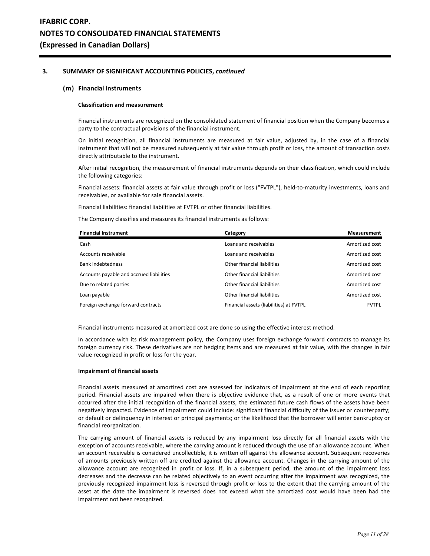### **(m) Financial instruments**

#### **Classification and measurement**

Financial instruments are recognized on the consolidated statement of financial position when the Company becomes a party to the contractual provisions of the financial instrument.

 On initial recognition, all financial instruments are measured at fair value, adjusted by, in the case of a financial instrument that will not be measured subsequently at fair value through profit or loss, the amount of transaction costs directly attributable to the instrument.

 After initial recognition, the measurement of financial instruments depends on their classification, which could include the following categories:

 Financial assets: financial assets at fair value through profit or loss ("FVTPL"), held-to-maturity investments, loans and receivables, or available for sale financial assets.

Financial liabilities: financial liabilities at FVTPL or other financial liabilities.

The Company classifies and measures its financial instruments as follows:

| <b>Financial Instrument</b>              | Category                                | <b>Measurement</b> |
|------------------------------------------|-----------------------------------------|--------------------|
| Cash                                     | Loans and receivables                   | Amortized cost     |
| Accounts receivable                      | Loans and receivables                   | Amortized cost     |
| <b>Bank indebtedness</b>                 | Other financial liabilities             | Amortized cost     |
| Accounts payable and accrued liabilities | Other financial liabilities             | Amortized cost     |
| Due to related parties                   | Other financial liabilities             | Amortized cost     |
| Loan payable                             | Other financial liabilities             | Amortized cost     |
| Foreign exchange forward contracts       | Financial assets (liabilities) at FVTPL | <b>FVTPL</b>       |

Financial instruments measured at amortized cost are done so using the effective interest method.

In accordance with its risk management policy, the Company uses foreign exchange forward contracts to manage its foreign currency risk. These derivatives are not hedging items and are measured at fair value, with the changes in fair value recognized in profit or loss for the year.

#### **Impairment of financial assets**

Financial assets measured at amortized cost are assessed for indicators of impairment at the end of each reporting period. Financial assets are impaired when there is objective evidence that, as a result of one or more events that occurred after the initial recognition of the financial assets, the estimated future cash flows of the assets have been negatively impacted. Evidence of impairment could include: significant financial difficulty of the issuer or counterparty; or default or delinquency in interest or principal payments; or the likelihood that the borrower will enter bankruptcy or financial reorganization.

The carrying amount of financial assets is reduced by any impairment loss directly for all financial assets with the exception of accounts receivable, where the carrying amount is reduced through the use of an allowance account. When an account receivable is considered uncollectible, it is written off against the allowance account. Subsequent recoveries of amounts previously written off are credited against the allowance account. Changes in the carrying amount of the allowance account are recognized in profit or loss. If, in a subsequent period, the amount of the impairment loss decreases and the decrease can be related objectively to an event occurring after the impairment was recognized, the previously recognized impairment loss is reversed through profit or loss to the extent that the carrying amount of the asset at the date the impairment is reversed does not exceed what the amortized cost would have been had the impairment not been recognized.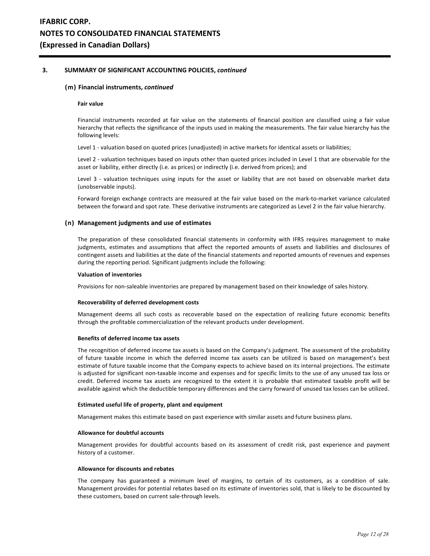#### **(m) Financial instruments,** *continued*

#### **Fair value**

Financial instruments recorded at fair value on the statements of financial position are classified using a fair value hierarchy that reflects the significance of the inputs used in making the measurements. The fair value hierarchy has the following levels:

Level 1 - valuation based on quoted prices (unadjusted) in active markets for identical assets or liabilities;

Level 2 - valuation techniques based on inputs other than quoted prices included in Level 1 that are observable for the asset or liability, either directly (i.e. as prices) or indirectly (i.e. derived from prices); and

Level 3 - valuation techniques using inputs for the asset or liability that are not based on observable market data (unobservable inputs).

Forward foreign exchange contracts are measured at the fair value based on the mark-to-market variance calculated between the forward and spot rate. These derivative instruments are categorized as Level 2 in the fair value hierarchy.

#### **(n) Management judgments and use of estimates**

 The preparation of these consolidated financial statements in conformity with IFRS requires management to make judgments, estimates and assumptions that affect the reported amounts of assets and liabilities and disclosures of contingent assets and liabilities at the date of the financial statements and reported amounts of revenues and expenses during the reporting period. Significant judgments include the following:

#### **Valuation of inventories**

Provisions for non-saleable inventories are prepared by management based on their knowledge of sales history.

### **Recoverability of deferred development costs**

 Management deems all such costs as recoverable based on the expectation of realizing future economic benefits through the profitable commercialization of the relevant products under development.

#### **Benefits of deferred income tax assets**

 The recognition of deferred income tax assets is based on the Company's judgment. The assessment of the probability of future taxable income in which the deferred income tax assets can be utilized is based on management's best estimate of future taxable income that the Company expects to achieve based on its internal projections. The estimate is adjusted for significant non-taxable income and expenses and for specific limits to the use of any unused tax loss or credit. Deferred income tax assets are recognized to the extent it is probable that estimated taxable profit will be available against which the deductible temporary differences and the carry forward of unused tax losses can be utilized.

#### **Estimated useful life of property, plant and equipment**

Management makes this estimate based on past experience with similar assets and future business plans.

#### **Allowance for doubtful accounts**

 Management provides for doubtful accounts based on its assessment of credit risk, past experience and payment history of a customer.

#### **Allowance for discounts and rebates**

 The company has guaranteed a minimum level of margins, to certain of its customers, as a condition of sale. Management provides for potential rebates based on its estimate of inventories sold, that is likely to be discounted by these customers, based on current sale-through levels.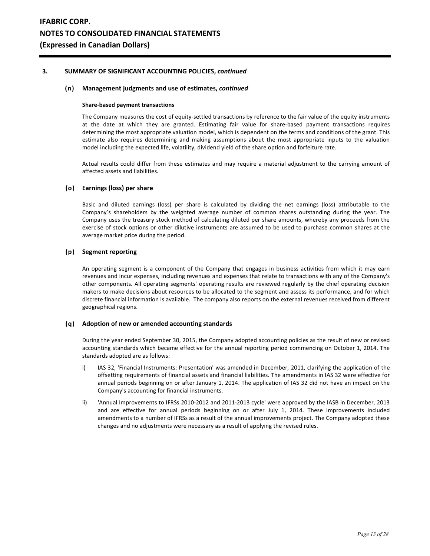## **(n) Management judgments and use of estimates,** *continued*

#### **Share-based payment transactions**

 The Company measures the cost of equity-settled transactions by reference to the fair value of the equity instruments at the date at which they are granted. Estimating fair value for share-based payment transactions requires determining the most appropriate valuation model, which is dependent on the terms and conditions of the grant. This estimate also requires determining and making assumptions about the most appropriate inputs to the valuation model including the expected life, volatility, dividend yield of the share option and forfeiture rate.

 Actual results could differ from these estimates and may require a material adjustment to the carrying amount of affected assets and liabilities.

## **(o) Earnings (loss) per share**

Basic and diluted earnings (loss) per share is calculated by dividing the net earnings (loss) attributable to the Company's shareholders by the weighted average number of common shares outstanding during the year. The Company uses the treasury stock method of calculating diluted per share amounts, whereby any proceeds from the exercise of stock options or other dilutive instruments are assumed to be used to purchase common shares at the average market price during the period.

### **(p) Segment reporting**

 An operating segment is a component of the Company that engages in business activities from which it may earn revenues and incur expenses, including revenues and expenses that relate to transactions with any of the Company's other components. All operating segments' operating results are reviewed regularly by the chief operating decision makers to make decisions about resources to be allocated to the segment and assess its performance, and for which discrete financial information is available. The company also reports on the external revenues received from different geographical regions.

#### **(q) Adoption of new or amended accounting standards**

 During the year ended September 30, 2015, the Company adopted accounting policies as the result of new or revised accounting standards which became effective for the annual reporting period commencing on October 1, 2014. The standards adopted are as follows:

- i) IAS 32, 'Financial Instruments: Presentation' was amended in December, 2011, clarifying the application of the offsetting requirements of financial assets and financial liabilities. The amendments in IAS 32 were effective for annual periods beginning on or after January 1, 2014. The application of IAS 32 did not have an impact on the Company's accounting for financial instruments.
- ii) 'Annual Improvements to IFRSs 2010-2012 and 2011-2013 cycle' were approved by the IASB in December, 2013 and are effective for annual periods beginning on or after July 1, 2014. These improvements included amendments to a number of IFRSs as a result of the annual improvements project. The Company adopted these changes and no adjustments were necessary as a result of applying the revised rules.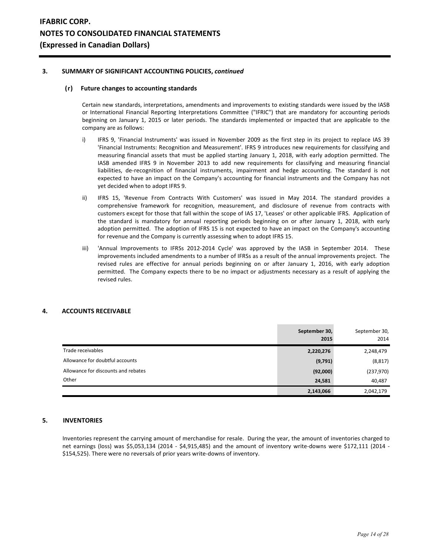## **(r) Future changes to accounting standards**

Certain new standards, interpretations, amendments and improvements to existing standards were issued by the IASB or International Financial Reporting Interpretations Committee ("IFRIC") that are mandatory for accounting periods beginning on January 1, 2015 or later periods. The standards implemented or impacted that are applicable to the company are as follows:

- i) IFRS 9, 'Financial Instruments' was issued in November 2009 as the first step in its project to replace IAS 39 'Financial Instruments: Recognition and Measurement'. IFRS 9 introduces new requirements for classifying and measuring financial assets that must be applied starting January 1, 2018, with early adoption permitted. The IASB amended IFRS 9 in November 2013 to add new requirements for classifying and measuring financial liabilities, de-recognition of financial instruments, impairment and hedge accounting. The standard is not expected to have an impact on the Company's accounting for financial instruments and the Company has not yet decided when to adopt IFRS 9.
- ii) IFRS 15, 'Revenue From Contracts With Customers' was issued in May 2014. The standard provides a comprehensive framework for recognition, measurement, and disclosure of revenue from contracts with customers except for those that fall within the scope of IAS 17, 'Leases' or other applicable IFRS. Application of the standard is mandatory for annual reporting periods beginning on or after January 1, 2018, with early adoption permitted. The adoption of IFRS 15 is not expected to have an impact on the Company's accounting for revenue and the Company is currently assessing when to adopt IFRS 15.
- iii) 'Annual Improvements to IFRSs 2012-2014 Cycle' was approved by the IASB in September 2014. These improvements included amendments to a number of IFRSs as a result of the annual improvements project. The revised rules are effective for annual periods beginning on or after January 1, 2016, with early adoption permitted. The Company expects there to be no impact or adjustments necessary as a result of applying the revised rules.

## **4. ACCOUNTS RECEIVABLE**

|                                     | September 30,<br>2015 | September 30,<br>2014 |
|-------------------------------------|-----------------------|-----------------------|
| Trade receivables                   | 2,220,276             | 2,248,479             |
| Allowance for doubtful accounts     | (9,791)               | (8, 817)              |
| Allowance for discounts and rebates | (92,000)              | (237,970)             |
| Other                               | 24,581                | 40,487                |
|                                     | 2,143,066             | 2,042,179             |

## **5. INVENTORIES**

Inventories represent the carrying amount of merchandise for resale. During the year, the amount of inventories charged to net earnings (loss) was \$5,053,134 (2014 - \$4,915,485) and the amount of inventory write-downs were \$172,111 (2014 - \$154,525). There were no reversals of prior years write-downs of inventory.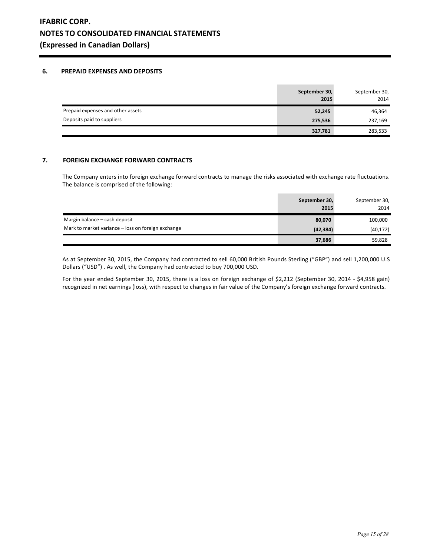## **6. PREPAID EXPENSES AND DEPOSITS**

|                                   | September 30,<br>2015 | September 30,<br>2014 |
|-----------------------------------|-----------------------|-----------------------|
| Prepaid expenses and other assets | 52,245                | 46,364                |
| Deposits paid to suppliers        | 275,536               | 237,169               |
|                                   | 327,781               | 283,533               |

## **7. FOREIGN EXCHANGE FORWARD CONTRACTS**

The Company enters into foreign exchange forward contracts to manage the risks associated with exchange rate fluctuations. The balance is comprised of the following:

|                                                    | September 30,<br>2015 | September 30,<br>2014 |
|----------------------------------------------------|-----------------------|-----------------------|
| Margin balance - cash deposit                      | 80,070                | 100,000               |
| Mark to market variance – loss on foreign exchange | (42, 384)             | (40, 172)             |
|                                                    | 37,686                | 59,828                |

As at September 30, 2015, the Company had contracted to sell 60,000 British Pounds Sterling ("GBP") and sell 1,200,000 U.S Dollars ("USD") . As well, the Company had contracted to buy 700,000 USD.

For the year ended September 30, 2015, there is a loss on foreign exchange of \$2,212 (September 30, 2014 - \$4,958 gain) recognized in net earnings (loss), with respect to changes in fair value of the Company's foreign exchange forward contracts.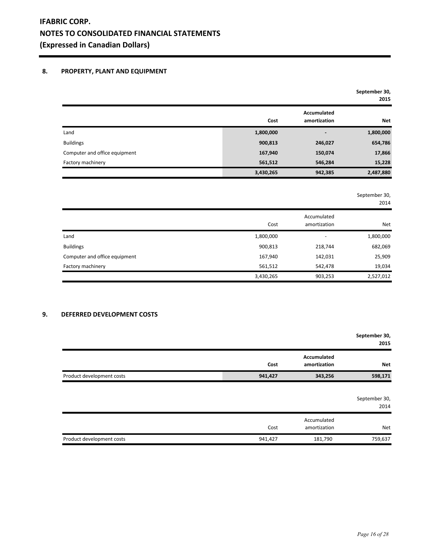# **8. PROPERTY, PLANT AND EQUIPMENT**

|                               |           |                             | September 30,<br>2015 |
|-------------------------------|-----------|-----------------------------|-----------------------|
|                               | Cost      | Accumulated<br>amortization | <b>Net</b>            |
| Land                          | 1,800,000 | ۰                           | 1,800,000             |
| <b>Buildings</b>              | 900,813   | 246,027                     | 654,786               |
| Computer and office equipment | 167,940   | 150,074                     | 17,866                |
| Factory machinery             | 561,512   | 546,284                     | 15,228                |
|                               | 3,430,265 | 942,385                     | 2,487,880             |

September 30,

|                               | Cost      | Accumulated<br>amortization | <b>Net</b> |
|-------------------------------|-----------|-----------------------------|------------|
| Land                          | 1,800,000 |                             | 1,800,000  |
| <b>Buildings</b>              | 900,813   | 218,744                     | 682,069    |
| Computer and office equipment | 167,940   | 142,031                     | 25,909     |
| Factory machinery             | 561,512   | 542,478                     | 19,034     |
|                               | 3,430,265 | 903,253                     | 2,527,012  |

# **9. DEFERRED DEVELOPMENT COSTS**

|                           |         |                                    | September 30,<br>2015 |
|---------------------------|---------|------------------------------------|-----------------------|
|                           | Cost    | <b>Accumulated</b><br>amortization | <b>Net</b>            |
| Product development costs | 941,427 | 343,256                            | 598,171               |
|                           |         |                                    | September 30,<br>2014 |
|                           | Cost    | Accumulated<br>amortization        | <b>Net</b>            |
| Product development costs | 941,427 | 181,790                            | 759,637               |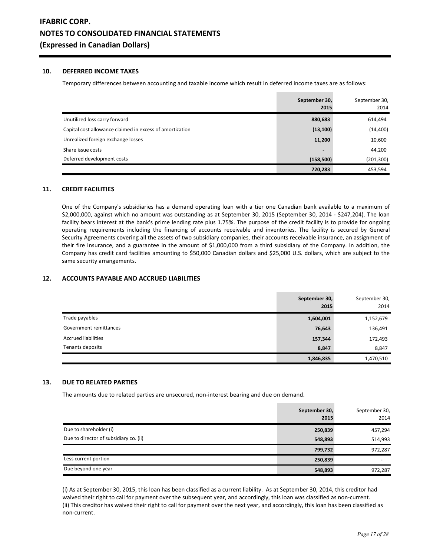## **10. DEFERRED INCOME TAXES**

Temporary differences between accounting and taxable income which result in deferred income taxes are as follows:

|                                                          | September 30,<br>2015 | September 30,<br>2014 |
|----------------------------------------------------------|-----------------------|-----------------------|
| Unutilized loss carry forward                            | 880,683               | 614,494               |
| Capital cost allowance claimed in excess of amortization | (13, 100)             | (14, 400)             |
| Unrealized foreign exchange losses                       | 11,200                | 10,600                |
| Share issue costs                                        | $\blacksquare$        | 44,200                |
| Deferred development costs                               | (158, 500)            | (201, 300)            |
|                                                          | 720,283               | 453,594               |

# **11. CREDIT FACILITIES**

One of the Company's subsidiaries has a demand operating loan with a tier one Canadian bank available to a maximum of \$2,000,000, against which no amount was outstanding as at September 30, 2015 (September 30, 2014 - \$247,204). The loan facility bears interest at the bank's prime lending rate plus 1.75%. The purpose of the credit facility is to provide for ongoing operating requirements including the financing of accounts receivable and inventories. The facility is secured by General Security Agreements covering all the assets of two subsidiary companies, their accounts receivable insurance, an assignment of their fire insurance, and a guarantee in the amount of \$1,000,000 from a third subsidiary of the Company. In addition, the Company has credit card facilities amounting to \$50,000 Canadian dollars and \$25,000 U.S. dollars, which are subject to the same security arrangements.

# **12. ACCOUNTS PAYABLE AND ACCRUED LIABILITIES**

|                            | September 30,<br>2015 | September 30,<br>2014 |
|----------------------------|-----------------------|-----------------------|
| Trade payables             | 1,604,001             | 1,152,679             |
| Government remittances     | 76,643                | 136,491               |
| <b>Accrued liabilities</b> | 157,344               | 172,493               |
| Tenants deposits           | 8,847                 | 8,847                 |
|                            | 1,846,835             | 1,470,510             |

# **13. DUE TO RELATED PARTIES**

The amounts due to related parties are unsecured, non-interest bearing and due on demand.

|                                        | September 30,<br>2015 | September 30,<br>2014    |
|----------------------------------------|-----------------------|--------------------------|
| Due to shareholder (i)                 | 250,839               | 457,294                  |
| Due to director of subsidiary co. (ii) | 548,893               | 514,993                  |
|                                        | 799,732               | 972,287                  |
| Less current portion                   | 250,839               | $\overline{\phantom{0}}$ |
| Due beyond one year                    | 548,893               | 972,287                  |

(i) As at September 30, 2015, this loan has been classified as a current liability. As at September 30, 2014, this creditor had waived their right to call for payment over the subsequent year, and accordingly, this loan was classified as non-current. (ii) This creditor has waived their right to call for payment over the next year, and accordingly, this loan has been classified as non-current.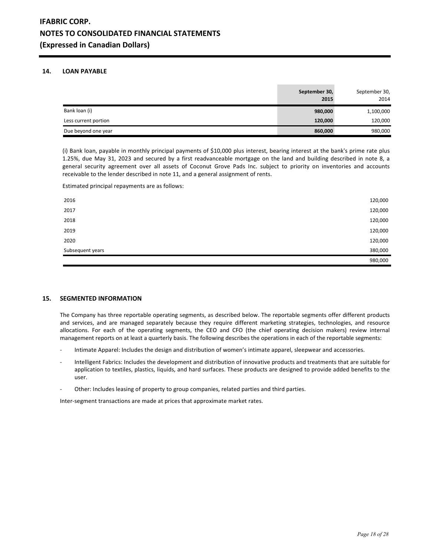# **14. LOAN PAYABLE**

|                      | September 30,<br>2015 | September 30,<br>2014 |
|----------------------|-----------------------|-----------------------|
| Bank loan (i)        | 980,000               | 1,100,000             |
| Less current portion | 120,000               | 120,000               |
| Due beyond one year  | 860,000               | 980,000               |

(i) Bank loan, payable in monthly principal payments of \$10,000 plus interest, bearing interest at the bank's prime rate plus 1.25%, due May 31, 2023 and secured by a first readvanceable mortgage on the land and building described in note 8, a general security agreement over all assets of Coconut Grove Pads Inc. subject to priority on inventories and accounts receivable to the lender described in note 11, and a general assignment of rents.

Estimated principal repayments are as follows:

| 2016             | 120,000 |
|------------------|---------|
| 2017             | 120,000 |
| 2018             | 120,000 |
| 2019             | 120,000 |
| 2020             | 120,000 |
| Subsequent years | 380,000 |
|                  | 980,000 |

## **15. SEGMENTED INFORMATION**

The Company has three reportable operating segments, as described below. The reportable segments offer different products and services, and are managed separately because they require different marketing strategies, technologies, and resource allocations. For each of the operating segments, the CEO and CFO (the chief operating decision makers) review internal management reports on at least a quarterly basis. The following describes the operations in each of the reportable segments:

- Intimate Apparel: Includes the design and distribution of women's intimate apparel, sleepwear and accessories.
- Intelligent Fabrics: Includes the development and distribution of innovative products and treatments that are suitable for application to textiles, plastics, liquids, and hard surfaces. These products are designed to provide added benefits to the user.
- Other: Includes leasing of property to group companies, related parties and third parties.

Inter-segment transactions are made at prices that approximate market rates.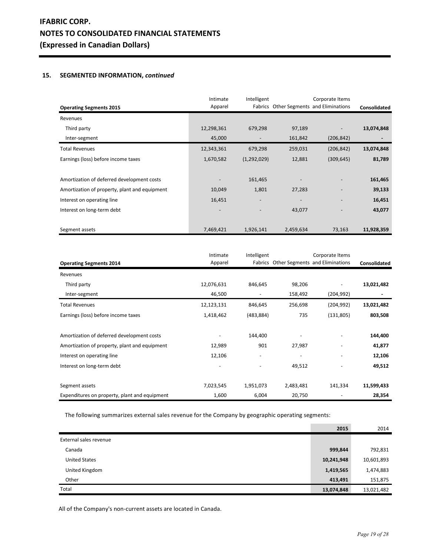# **15. SEGMENTED INFORMATION,** *continued*

| <b>Operating Segments 2015</b>                | Intimate<br>Apparel      | Intelligent |           | Corporate Items<br>Fabrics Other Segments and Eliminations | Consolidated |
|-----------------------------------------------|--------------------------|-------------|-----------|------------------------------------------------------------|--------------|
| Revenues                                      |                          |             |           |                                                            |              |
| Third party                                   | 12,298,361               | 679,298     | 97,189    |                                                            | 13,074,848   |
| Inter-segment                                 | 45,000                   |             | 161,842   | (206, 842)                                                 |              |
| <b>Total Revenues</b>                         | 12,343,361               | 679,298     | 259,031   | (206, 842)                                                 | 13,074,848   |
| Earnings (loss) before income taxes           | 1,670,582                | (1,292,029) | 12,881    | (309, 645)                                                 | 81,789       |
|                                               |                          |             |           |                                                            |              |
| Amortization of deferred development costs    |                          | 161,465     |           |                                                            | 161,465      |
| Amortization of property, plant and equipment | 10,049                   | 1,801       | 27,283    |                                                            | 39,133       |
| Interest on operating line                    | 16,451                   |             |           |                                                            | 16,451       |
| Interest on long-term debt                    | $\overline{\phantom{a}}$ |             | 43,077    |                                                            | 43,077       |
|                                               |                          |             |           |                                                            |              |
| Segment assets                                | 7,469,421                | 1,926,141   | 2,459,634 | 73,163                                                     | 11,928,359   |

|                                               | Intimate   | Intelligent              |                          | Corporate Items                         |              |
|-----------------------------------------------|------------|--------------------------|--------------------------|-----------------------------------------|--------------|
| <b>Operating Segments 2014</b>                | Apparel    |                          |                          | Fabrics Other Segments and Eliminations | Consolidated |
| Revenues                                      |            |                          |                          |                                         |              |
| Third party                                   | 12,076,631 | 846,645                  | 98,206                   |                                         | 13,021,482   |
| Inter-segment                                 | 46,500     |                          | 158,492                  | (204, 992)                              |              |
| <b>Total Revenues</b>                         | 12,123,131 | 846,645                  | 256,698                  | (204, 992)                              | 13,021,482   |
| Earnings (loss) before income taxes           | 1,418,462  | (483, 884)               | 735                      | (131, 805)                              | 803,508      |
|                                               |            |                          |                          |                                         |              |
| Amortization of deferred development costs    |            | 144,400                  |                          |                                         | 144,400      |
| Amortization of property, plant and equipment | 12,989     | 901                      | 27,987                   |                                         | 41,877       |
| Interest on operating line                    | 12,106     | $\overline{\phantom{a}}$ | $\overline{\phantom{a}}$ | $\qquad \qquad \blacksquare$            | 12,106       |
| Interest on long-term debt                    |            |                          | 49,512                   |                                         | 49,512       |
|                                               |            |                          |                          |                                         |              |
| Segment assets                                | 7,023,545  | 1,951,073                | 2,483,481                | 141,334                                 | 11,599,433   |
| Expenditures on property, plant and equipment | 1,600      | 6,004                    | 20,750                   |                                         | 28,354       |

The following summarizes external sales revenue for the Company by geographic operating segments:

|                        | 2015       | 2014       |
|------------------------|------------|------------|
| External sales revenue |            |            |
| Canada                 | 999,844    | 792,831    |
| <b>United States</b>   | 10,241,948 | 10,601,893 |
| United Kingdom         | 1,419,565  | 1,474,883  |
| Other                  | 413,491    | 151,875    |
| Total                  | 13,074,848 | 13,021,482 |

All of the Company's non-current assets are located in Canada.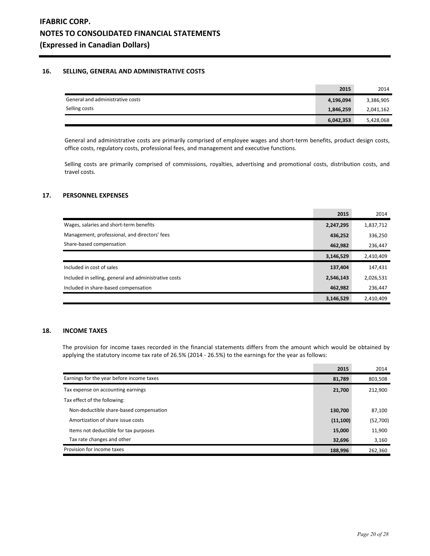## **16. SELLING, GENERAL AND ADMINISTRATIVE COSTS**

|                                  | 2015      | 2014      |
|----------------------------------|-----------|-----------|
| General and administrative costs | 4,196,094 | 3,386,905 |
| Selling costs                    | 1,846,259 | 2,041,162 |
|                                  | 6,042,353 | 5,428,068 |

General and administrative costs are primarily comprised of employee wages and short-term benefits, product design costs, office costs, regulatory costs, professional fees, and management and executive functions.

Selling costs are primarily comprised of commissions, royalties, advertising and promotional costs, distribution costs, and travel costs.

## **17. PERSONNEL EXPENSES**

|                                                       | 2015      | 2014      |
|-------------------------------------------------------|-----------|-----------|
| Wages, salaries and short-term benefits               | 2,247,295 | 1,837,712 |
| Management, professional, and directors' fees         | 436,252   | 336,250   |
| Share-based compensation                              | 462,982   | 236,447   |
|                                                       | 3,146,529 | 2,410,409 |
| Included in cost of sales                             | 137,404   | 147,431   |
| Included in selling, general and administrative costs | 2,546,143 | 2,026,531 |
| Included in share-based compensation                  | 462,982   | 236,447   |
|                                                       | 3,146,529 | 2,410,409 |

# **18. INCOME TAXES**

The provision for income taxes recorded in the financial statements differs from the amount which would be obtained by applying the statutory income tax rate of 26.5% (2014 - 26.5%) to the earnings for the year as follows:

 $\sim$ 

|                                           | 2015      | 2014     |
|-------------------------------------------|-----------|----------|
| Earnings for the year before income taxes | 81,789    | 803,508  |
| Tax expense on accounting earnings        | 21,700    | 212,900  |
| Tax effect of the following:              |           |          |
| Non-deductible share-based compensation   | 130.700   | 87,100   |
| Amortization of share issue costs         | (11, 100) | (52,700) |
| Items not deductible for tax purposes     | 15,000    | 11,900   |
| Tax rate changes and other                | 32,696    | 3,160    |
| Provision for income taxes                | 188,996   | 262,360  |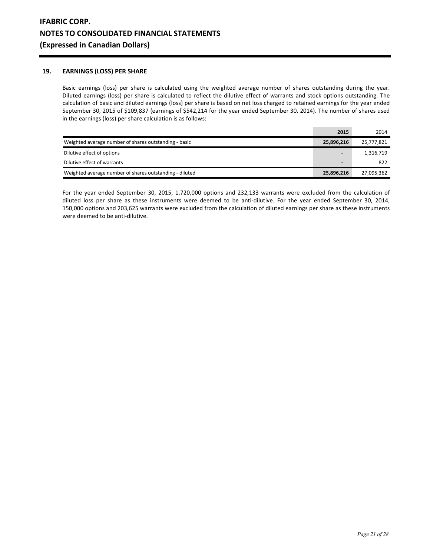# **19. EARNINGS (LOSS) PER SHARE**

Basic earnings (loss) per share is calculated using the weighted average number of shares outstanding during the year. Diluted earnings (loss) per share is calculated to reflect the dilutive effect of warrants and stock options outstanding. The calculation of basic and diluted earnings (loss) per share is based on net loss charged to retained earnings for the year ended September 30, 2015 of \$109,837 (earnings of \$542,214 for the year ended September 30, 2014). The number of shares used in the earnings (loss) per share calculation is as follows:

|                                                         | 2015           | 2014       |
|---------------------------------------------------------|----------------|------------|
| Weighted average number of shares outstanding - basic   | 25,896,216     | 25,777,821 |
| Dilutive effect of options                              | $\blacksquare$ | 1,316,719  |
| Dilutive effect of warrants                             |                | 822        |
| Weighted average number of shares outstanding - diluted | 25,896,216     | 27,095,362 |

For the year ended September 30, 2015, 1,720,000 options and 232,133 warrants were excluded from the calculation of diluted loss per share as these instruments were deemed to be anti-dilutive. For the year ended September 30, 2014, 150,000 options and 203,625 warrants were excluded from the calculation of diluted earnings per share as these instruments were deemed to be anti-dilutive.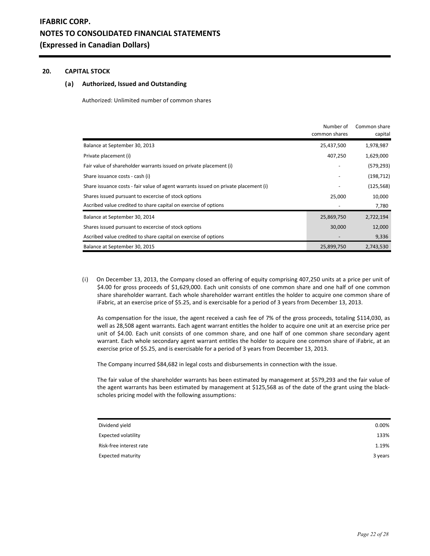## **20. CAPITAL STOCK**

## **(a) Authorized, Issued and Outstanding**

Authorized: Unlimited number of common shares

|                                                                                     | Number of<br>common shares | Common share<br>capital |
|-------------------------------------------------------------------------------------|----------------------------|-------------------------|
| Balance at September 30, 2013                                                       | 25,437,500                 | 1,978,987               |
| Private placement (i)                                                               | 407,250                    | 1,629,000               |
| Fair value of shareholder warrants issued on private placement (i)                  |                            | (579, 293)              |
| Share issuance costs - cash (i)                                                     |                            | (198, 712)              |
| Share issuance costs - fair value of agent warrants issued on private placement (i) |                            | (125, 568)              |
| Shares issued pursuant to excercise of stock options                                | 25,000                     | 10,000                  |
| Ascribed value credited to share capital on exercise of options                     |                            | 7,780                   |
| Balance at September 30, 2014                                                       | 25,869,750                 | 2,722,194               |
| Shares issued pursuant to excercise of stock options                                | 30,000                     | 12,000                  |
| Ascribed value credited to share capital on exercise of options                     |                            | 9,336                   |
| Balance at September 30, 2015                                                       | 25,899,750                 | 2,743,530               |

(i) On December 13, 2013, the Company closed an offering of equity comprising 407,250 units at a price per unit of \$4.00 for gross proceeds of \$1,629,000. Each unit consists of one common share and one half of one common share shareholder warrant. Each whole shareholder warrant entitles the holder to acquire one common share of iFabric, at an exercise price of \$5.25, and is exercisable for a period of 3 years from December 13, 2013.

 As compensation for the issue, the agent received a cash fee of 7% of the gross proceeds, totaling \$114,030, as well as 28,508 agent warrants. Each agent warrant entitles the holder to acquire one unit at an exercise price per unit of \$4.00. Each unit consists of one common share, and one half of one common share secondary agent warrant. Each whole secondary agent warrant entitles the holder to acquire one common share of iFabric, at an exercise price of \$5.25, and is exercisable for a period of 3 years from December 13, 2013.

The Company incurred \$84,682 in legal costs and disbursements in connection with the issue.

 The fair value of the shareholder warrants has been estimated by management at \$579,293 and the fair value of the agent warrants has been estimated by management at \$125,568 as of the date of the grant using the blackscholes pricing model with the following assumptions:

| Dividend yield             | 0.00%   |
|----------------------------|---------|
| <b>Expected volatility</b> | 133%    |
| Risk-free interest rate    | 1.19%   |
| <b>Expected maturity</b>   | 3 years |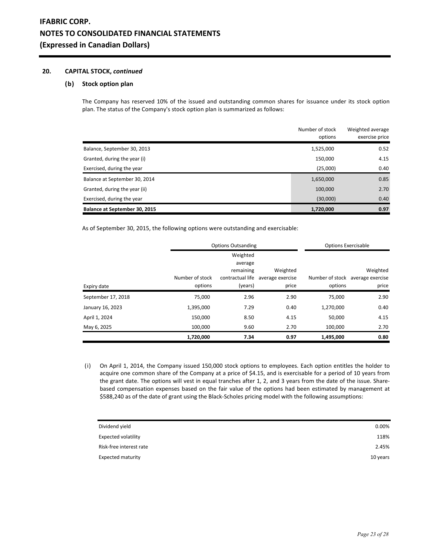## **20. CAPITAL STOCK,** *continued*

# **(b) Stock option plan**

The Company has reserved 10% of the issued and outstanding common shares for issuance under its stock option plan. The status of the Company's stock option plan is summarized as follows:

|                               | Number of stock<br>options | Weighted average<br>exercise price |
|-------------------------------|----------------------------|------------------------------------|
| Balance, September 30, 2013   | 1,525,000                  | 0.52                               |
| Granted, during the year (i)  | 150,000                    | 4.15                               |
| Exercised, during the year    | (25,000)                   | 0.40                               |
| Balance at September 30, 2014 | 1,650,000                  | 0.85                               |
| Granted, during the year (ii) | 100,000                    | 2.70                               |
| Exercised, during the year    | (30,000)                   | 0.40                               |
| Balance at September 30, 2015 | 1,720,000                  | 0.97                               |

As of September 30, 2015, the following options were outstanding and exercisable:

|                    | <b>Options Outsanding</b> |                     |                  | <b>Options Exercisable</b> |                                  |
|--------------------|---------------------------|---------------------|------------------|----------------------------|----------------------------------|
|                    |                           | Weighted<br>average |                  |                            |                                  |
|                    |                           | remaining           | Weighted         |                            | Weighted                         |
|                    | Number of stock           | contractual life    | average exercise |                            | Number of stock average exercise |
| Expiry date        | options                   | (years)             | price            | options                    | price                            |
| September 17, 2018 | 75,000                    | 2.96                | 2.90             | 75,000                     | 2.90                             |
| January 16, 2023   | 1,395,000                 | 7.29                | 0.40             | 1,270,000                  | 0.40                             |
| April 1, 2024      | 150,000                   | 8.50                | 4.15             | 50,000                     | 4.15                             |
| May 6, 2025        | 100,000                   | 9.60                | 2.70             | 100,000                    | 2.70                             |
|                    | 1,720,000                 | 7.34                | 0.97             | 1,495,000                  | 0.80                             |

(i) On April 1, 2014, the Company issued 150,000 stock options to employees. Each option entitles the holder to acquire one common share of the Company at a price of \$4.15, and is exercisable for a period of 10 years from the grant date. The options will vest in equal tranches after 1, 2, and 3 years from the date of the issue. Sharebased compensation expenses based on the fair value of the options had been estimated by management at \$588,240 as of the date of grant using the Black-Scholes pricing model with the following assumptions:

| Dividend yield             | 0.00%    |
|----------------------------|----------|
| <b>Expected volatility</b> | 118%     |
| Risk-free interest rate    | 2.45%    |
| <b>Expected maturity</b>   | 10 years |
|                            |          |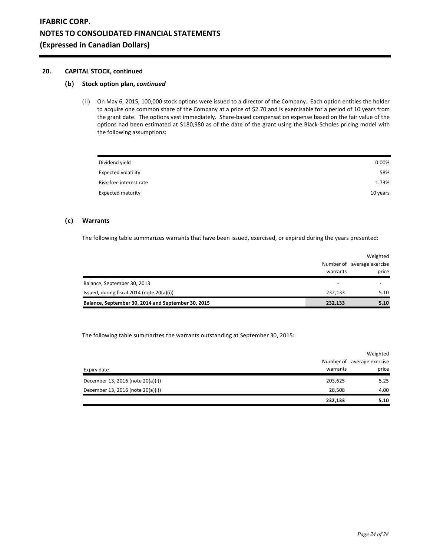## **20. CAPITAL STOCK, continued**

## **(b) Stock option plan,** *continued*

(ii) On May 6, 2015, 100,000 stock options were issued to a director of the Company. Each option entitles the holder to acquire one common share of the Company at a price of \$2.70 and is exercisable for a period of 10 years from the grant date. The options vest immediately. Share-based compensation expense based on the fair value of the options had been estimated at \$180,980 as of the date of the grant using the Black-Scholes pricing model with the following assumptions:

| Dividend yield             | 0.00%    |
|----------------------------|----------|
| <b>Expected volatility</b> | 58%      |
| Risk-free interest rate    | 1.73%    |
| <b>Expected maturity</b>   | 10 years |

# **(c) Warrants**

The following table summarizes warrants that have been issued, exercised, or expired during the years presented:

|                                                    |          | Weighted                   |
|----------------------------------------------------|----------|----------------------------|
|                                                    |          | Number of average exercise |
|                                                    | warrants | price                      |
| Balance, September 30, 2013                        |          |                            |
| Issued, during fiscal 2014 (note 20(a)(i))         | 232.133  | 5.10                       |
| Balance, September 30, 2014 and September 30, 2015 | 232,133  | 5.10                       |

The following table summarizes the warrants outstanding at September 30, 2015:

|                                   |          | Weighted                   |
|-----------------------------------|----------|----------------------------|
|                                   |          | Number of average exercise |
| Expiry date                       | warrants | price                      |
| December 13, 2016 (note 20(a)(i)) | 203,625  | 5.25                       |
| December 13, 2016 (note 20(a)(i)) | 28,508   | 4.00                       |
|                                   | 232,133  | 5.10                       |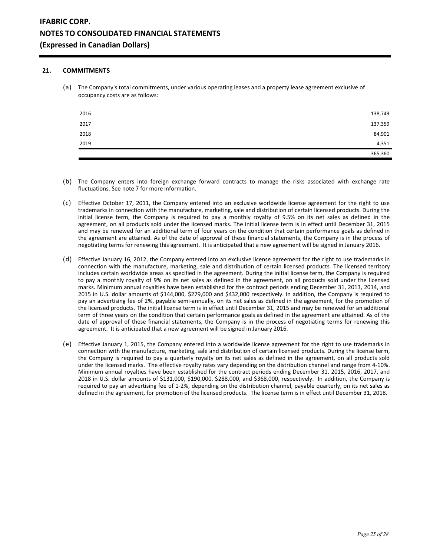## **21. COMMITMENTS**

(a) The Company's total commitments, under various operating leases and a property lease agreement exclusive of occupancy costs are as follows:

| 2016 | 138,749 |
|------|---------|
| 2017 | 137,359 |
| 2018 | 84,901  |
| 2019 | 4,351   |
|      | 365,360 |

- (b) The Company enters into foreign exchange forward contracts to manage the risks associated with exchange rate fluctuations. See note 7 for more information.
- (c) Effective October 17, 2011, the Company entered into an exclusive worldwide license agreement for the right to use trademarks in connection with the manufacture, marketing, sale and distribution of certain licensed products. During the initial license term, the Company is required to pay a monthly royalty of 9.5% on its net sales as defined in the agreement, on all products sold under the licensed marks. The initial license term is in effect until December 31, 2015 and may be renewed for an additional term of four years on the condition that certain performance goals as defined in the agreement are attained. As of the date of approval of these financial statements, the Company is in the process of negotiating terms for renewing this agreement. It is anticipated that a new agreement will be signed in January 2016.
- (d) Effective January 16, 2012, the Company entered into an exclusive license agreement for the right to use trademarks in connection with the manufacture, marketing, sale and distribution of certain licensed products. The licensed territory includes certain worldwide areas as specified in the agreement. During the initial license term, the Company is required to pay a monthly royalty of 9% on its net sales as defined in the agreement, on all products sold under the licensed marks. Minimum annual royalties have been established for the contract periods ending December 31, 2013, 2014, and 2015 in U.S. dollar amounts of \$144,000, \$279,000 and \$432,000 respectively. In addition, the Company is required to pay an advertising fee of 2%, payable semi-annually, on its net sales as defined in the agreement, for the promotion of the licensed products. The initial license term is in effect until December 31, 2015 and may be renewed for an additional term of three years on the condition that certain performance goals as defined in the agreement are attained. As of the date of approval of these financial statements, the Company is in the process of negotiating terms for renewing this agreement. It is anticipated that a new agreement will be signed in January 2016.
- (e) Effective January 1, 2015, the Company entered into a worldwide license agreement for the right to use trademarks in connection with the manufacture, marketing, sale and distribution of certain licensed products. During the license term, the Company is required to pay a quarterly royalty on its net sales as defined in the agreement, on all products sold under the licensed marks. The effective royalty rates vary depending on the distribution channel and range from 4-10%. Minimum annual royalties have been established for the contract periods ending December 31, 2015, 2016, 2017, and 2018 in U.S. dollar amounts of \$131,000, \$190,000, \$288,000, and \$368,000, respectively. In addition, the Company is required to pay an advertising fee of 1-2%, depending on the distribution channel, payable quarterly, on its net sales as defined in the agreement, for promotion of the licensed products. The license term is in effect until December 31, 2018.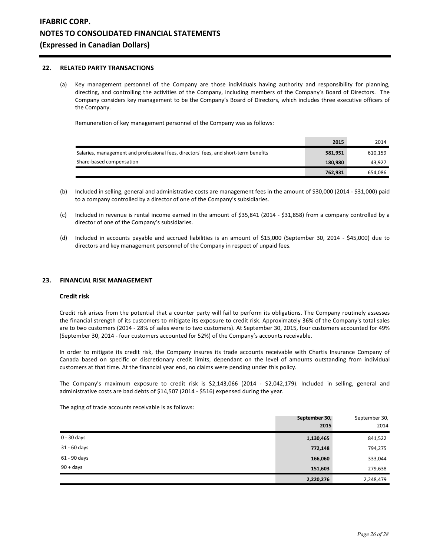## **22. RELATED PARTY TRANSACTIONS**

(a) Key management personnel of the Company are those individuals having authority and responsibility for planning, directing, and controlling the activities of the Company, including members of the Company's Board of Directors. The Company considers key management to be the Company's Board of Directors, which includes three executive officers of the Company.

Remuneration of key management personnel of the Company was as follows:

|                                                                                      | 2015    | 2014    |
|--------------------------------------------------------------------------------------|---------|---------|
| Salaries, management and professional fees, directors' fees, and short-term benefits | 581,951 | 610,159 |
| Share-based compensation                                                             | 180.980 | 43.927  |
|                                                                                      | 762.931 | 654.086 |

- (b) Included in selling, general and administrative costs are management fees in the amount of \$30,000 (2014 \$31,000) paid to a company controlled by a director of one of the Company's subsidiaries.
- (c) Included in revenue is rental income earned in the amount of \$35,841 (2014 \$31,858) from a company controlled by a director of one of the Company's subsidiaries.
- (d) Included in accounts payable and accrued liabilities is an amount of \$15,000 (September 30, 2014 \$45,000) due to directors and key management personnel of the Company in respect of unpaid fees.

## **23. FINANCIAL RISK MANAGEMENT**

#### **Credit risk**

Credit risk arises from the potential that a counter party will fail to perform its obligations. The Company routinely assesses the financial strength of its customers to mitigate its exposure to credit risk. Approximately 36% of the Company's total sales are to two customers (2014 - 28% of sales were to two customers). At September 30, 2015, four customers accounted for 49% (September 30, 2014 - four customers accounted for 52%) of the Company's accounts receivable.

In order to mitigate its credit risk, the Company insures its trade accounts receivable with Chartis Insurance Company of Canada based on specific or discretionary credit limits, dependant on the level of amounts outstanding from individual customers at that time. At the financial year end, no claims were pending under this policy.

The Company's maximum exposure to credit risk is \$2,143,066 (2014 - \$2,042,179). Included in selling, general and administrative costs are bad debts of \$14,507 (2014 - \$516) expensed during the year.

The aging of trade accounts receivable is as follows:

|               | September 30,<br>2015 | September 30,<br>2014 |
|---------------|-----------------------|-----------------------|
| $0 - 30$ days | 1,130,465             | 841,522               |
| 31 - 60 days  | 772,148               | 794,275               |
| 61 - 90 days  | 166,060               | 333,044               |
| $90 + days$   | 151,603               | 279,638               |
|               | 2,220,276             | 2,248,479             |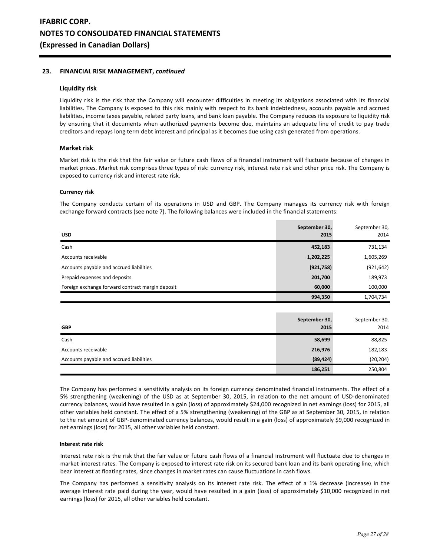## **23. FINANCIAL RISK MANAGEMENT,** *continued*

### **Liquidity risk**

Liquidity risk is the risk that the Company will encounter difficulties in meeting its obligations associated with its financial liabilities. The Company is exposed to this risk mainly with respect to its bank indebtedness, accounts payable and accrued liabilities, income taxes payable, related party loans, and bank loan payable. The Company reduces its exposure to liquidity risk by ensuring that it documents when authorized payments become due, maintains an adequate line of credit to pay trade creditors and repays long term debt interest and principal as it becomes due using cash generated from operations.

### **Market risk**

Market risk is the risk that the fair value or future cash flows of a financial instrument will fluctuate because of changes in market prices. Market risk comprises three types of risk: currency risk, interest rate risk and other price risk. The Company is exposed to currency risk and interest rate risk.

#### **Currency risk**

The Company conducts certain of its operations in USD and GBP. The Company manages its currency risk with foreign exchange forward contracts (see note 7). The following balances were included in the financial statements:

| <b>USD</b>                                       | September 30,<br>2015 | September 30,<br>2014 |
|--------------------------------------------------|-----------------------|-----------------------|
| Cash                                             | 452,183               | 731,134               |
| Accounts receivable                              | 1,202,225             | 1,605,269             |
| Accounts payable and accrued liabilities         | (921, 758)            | (921, 642)            |
| Prepaid expenses and deposits                    | 201,700               | 189,973               |
| Foreign exchange forward contract margin deposit | 60,000                | 100,000               |
|                                                  | 994,350               | 1,704,734             |

| <b>GBP</b>                               | September 30,<br>2015 | September 30,<br>2014 |
|------------------------------------------|-----------------------|-----------------------|
| Cash                                     | 58,699                | 88,825                |
| Accounts receivable                      | 216,976               | 182,183               |
| Accounts payable and accrued liabilities | (89, 424)             | (20, 204)             |
|                                          | 186,251               | 250,804               |

The Company has performed a sensitivity analysis on its foreign currency denominated financial instruments. The effect of a 5% strengthening (weakening) of the USD as at September 30, 2015, in relation to the net amount of USD-denominated currency balances, would have resulted in a gain (loss) of approximately \$24,000 recognized in net earnings (loss) for 2015, all other variables held constant. The effect of a 5% strengthening (weakening) of the GBP as at September 30, 2015, in relation to the net amount of GBP-denominated currency balances, would result in a gain (loss) of approximately \$9,000 recognized in net earnings (loss) for 2015, all other variables held constant.

#### **Interest rate risk**

Interest rate risk is the risk that the fair value or future cash flows of a financial instrument will fluctuate due to changes in market interest rates. The Company is exposed to interest rate risk on its secured bank loan and its bank operating line, which bear interest at floating rates, since changes in market rates can cause fluctuations in cash flows.

The Company has performed a sensitivity analysis on its interest rate risk. The effect of a 1% decrease (increase) in the average interest rate paid during the year, would have resulted in a gain (loss) of approximately \$10,000 recognized in net earnings (loss) for 2015, all other variables held constant.